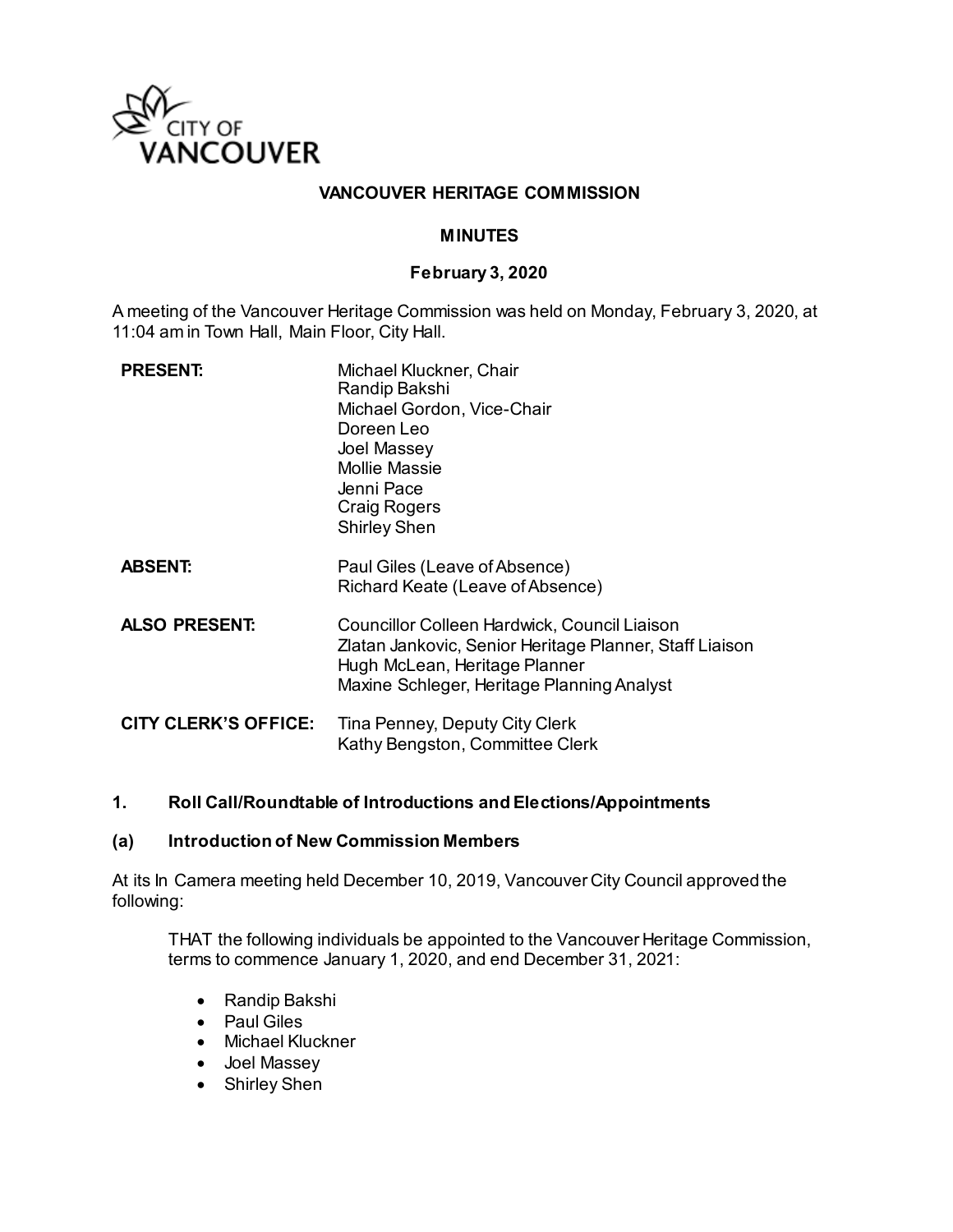

# **VANCOUVER HERITAGE COMMISSION**

# **MINUTES**

### **February 3, 2020**

A meeting of the Vancouver Heritage Commission was held on Monday, February 3, 2020, at 11:04 am in Town Hall, Main Floor, City Hall.

| <b>PRESENT:</b>             | Michael Kluckner, Chair<br>Randip Bakshi<br>Michael Gordon, Vice-Chair<br>Doreen Leo<br>Joel Massey<br><b>Mollie Massie</b><br>Jenni Pace<br>Craig Rogers<br><b>Shirley Shen</b>       |
|-----------------------------|----------------------------------------------------------------------------------------------------------------------------------------------------------------------------------------|
| <b>ABSENT:</b>              | Paul Giles (Leave of Absence)<br>Richard Keate (Leave of Absence)                                                                                                                      |
| <b>ALSO PRESENT:</b>        | Councillor Colleen Hardwick, Council Liaison<br>Zlatan Jankovic, Senior Heritage Planner, Staff Liaison<br>Hugh McLean, Heritage Planner<br>Maxine Schleger, Heritage Planning Analyst |
| <b>CITY CLERK'S OFFICE:</b> | Tina Penney, Deputy City Clerk<br>Kathy Bengston, Committee Clerk                                                                                                                      |

## **1. Roll Call/Roundtable of Introductions and Elections/Appointments**

#### **(a) Introduction of New Commission Members**

At its In Camera meeting held December 10, 2019, Vancouver City Council approved the following:

THAT the following individuals be appointed to the Vancouver Heritage Commission, terms to commence January 1, 2020, and end December 31, 2021:

- Randip Bakshi
- Paul Giles
- Michael Kluckner
- Joel Massey
- Shirley Shen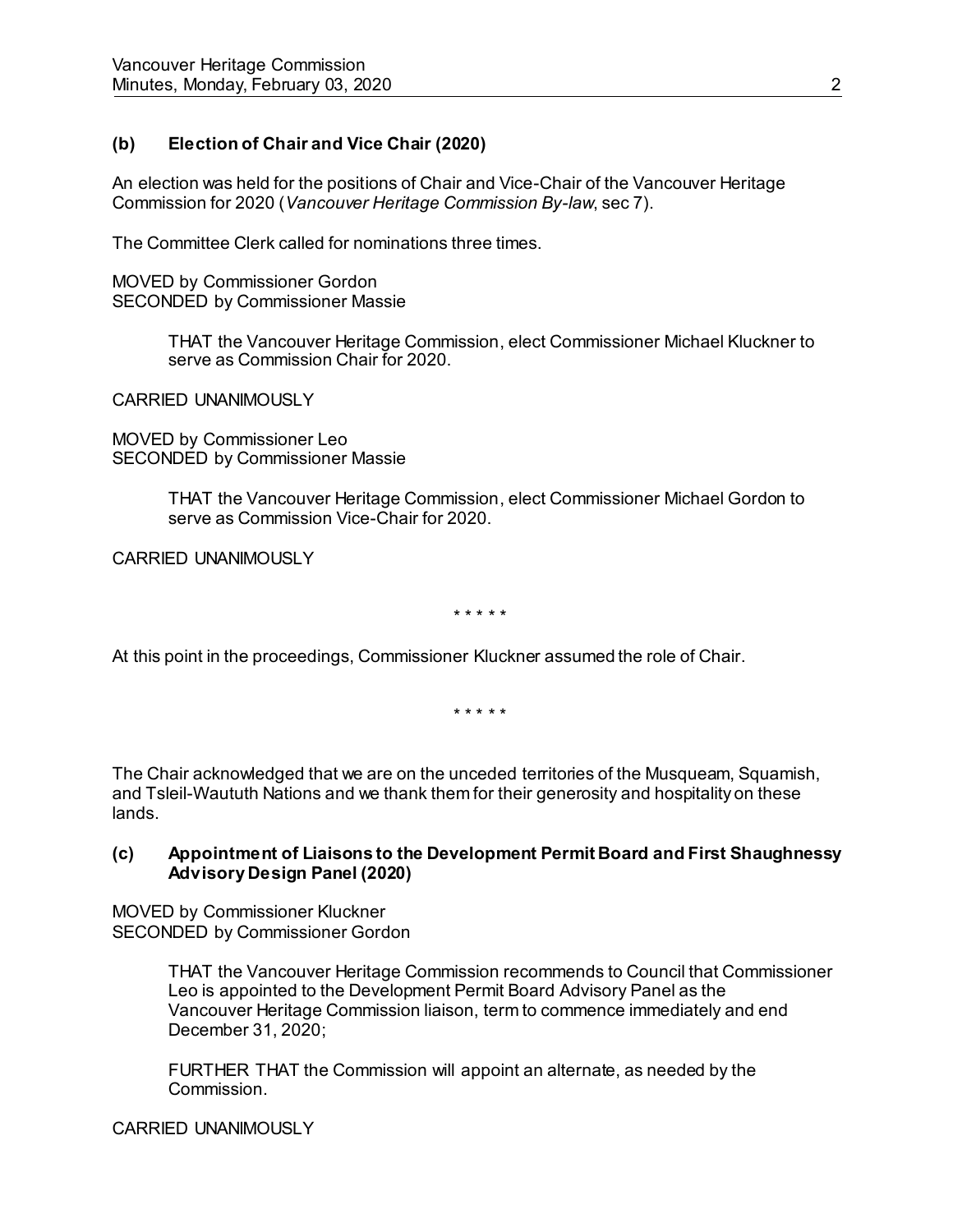# **(b) Election of Chair and Vice Chair (2020)**

An election was held for the positions of Chair and Vice-Chair of the Vancouver Heritage Commission for 2020 (*Vancouver Heritage Commission By-law*, sec 7).

The Committee Clerk called for nominations three times.

MOVED by Commissioner Gordon SECONDED by Commissioner Massie

> THAT the Vancouver Heritage Commission, elect Commissioner Michael Kluckner to serve as Commission Chair for 2020.

CARRIED UNANIMOUSLY

MOVED by Commissioner Leo SECONDED by Commissioner Massie

> THAT the Vancouver Heritage Commission, elect Commissioner Michael Gordon to serve as Commission Vice-Chair for 2020.

CARRIED UNANIMOUSLY

\* \* \* \* \*

At this point in the proceedings, Commissioner Kluckner assumed the role of Chair.

\* \* \* \* \*

The Chair acknowledged that we are on the unceded territories of the Musqueam, Squamish, and Tsleil-Waututh Nations and we thank them for their generosity and hospitality on these lands.

### **(c) Appointment of Liaisons to the Development Permit Board and First Shaughnessy Advisory Design Panel (2020)**

MOVED by Commissioner Kluckner SECONDED by Commissioner Gordon

> THAT the Vancouver Heritage Commission recommends to Council that Commissioner Leo is appointed to the Development Permit Board Advisory Panel as the Vancouver Heritage Commission liaison, term to commence immediately and end December 31, 2020;

FURTHER THAT the Commission will appoint an alternate, as needed by the Commission.

CARRIED UNANIMOUSLY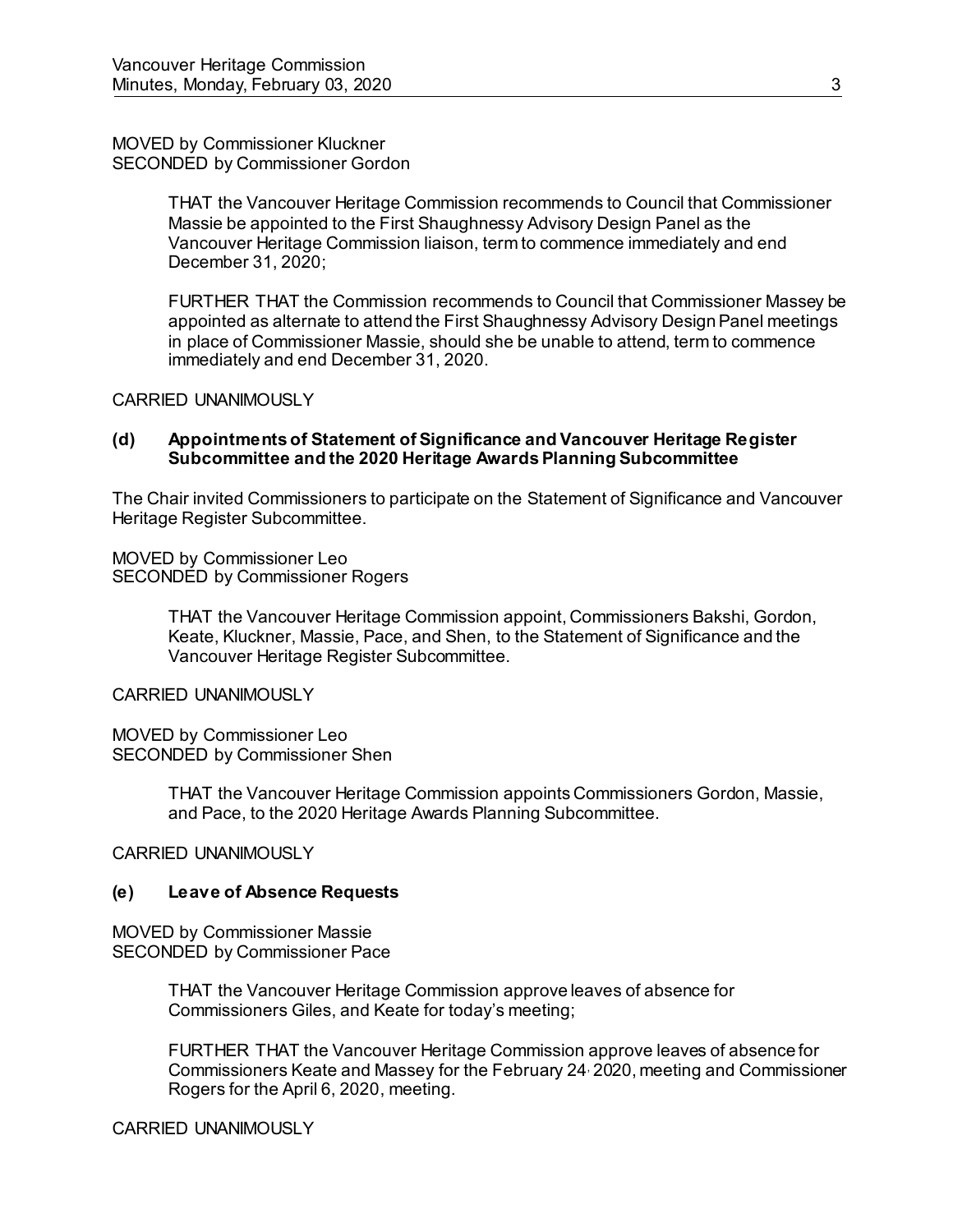#### MOVED by Commissioner Kluckner SECONDED by Commissioner Gordon

THAT the Vancouver Heritage Commission recommends to Council that Commissioner Massie be appointed to the First Shaughnessy Advisory Design Panel as the Vancouver Heritage Commission liaison, term to commence immediately and end December 31, 2020;

FURTHER THAT the Commission recommends to Council that Commissioner Massey be appointed as alternate to attend the First Shaughnessy Advisory Design Panel meetings in place of Commissioner Massie, should she be unable to attend, term to commence immediately and end December 31, 2020.

CARRIED UNANIMOUSLY

#### **(d) Appointments of Statement of Significance and Vancouver Heritage Register Subcommittee and the 2020 Heritage Awards Planning Subcommittee**

The Chair invited Commissioners to participate on the Statement of Significance and Vancouver Heritage Register Subcommittee.

MOVED by Commissioner Leo SECONDED by Commissioner Rogers

> THAT the Vancouver Heritage Commission appoint, Commissioners Bakshi, Gordon, Keate, Kluckner, Massie, Pace, and Shen, to the Statement of Significance and the Vancouver Heritage Register Subcommittee.

CARRIED UNANIMOUSLY

MOVED by Commissioner Leo SECONDED by Commissioner Shen

> THAT the Vancouver Heritage Commission appoints Commissioners Gordon, Massie, and Pace, to the 2020 Heritage Awards Planning Subcommittee.

CARRIED UNANIMOUSLY

## **(e) Leave of Absence Requests**

MOVED by Commissioner Massie SECONDED by Commissioner Pace

> THAT the Vancouver Heritage Commission approve leaves of absence for Commissioners Giles, and Keate for today's meeting;

FURTHER THAT the Vancouver Heritage Commission approve leaves of absence for Commissioners Keate and Massey for the February 24, 2020, meeting and Commissioner Rogers for the April 6, 2020, meeting.

CARRIED UNANIMOUSLY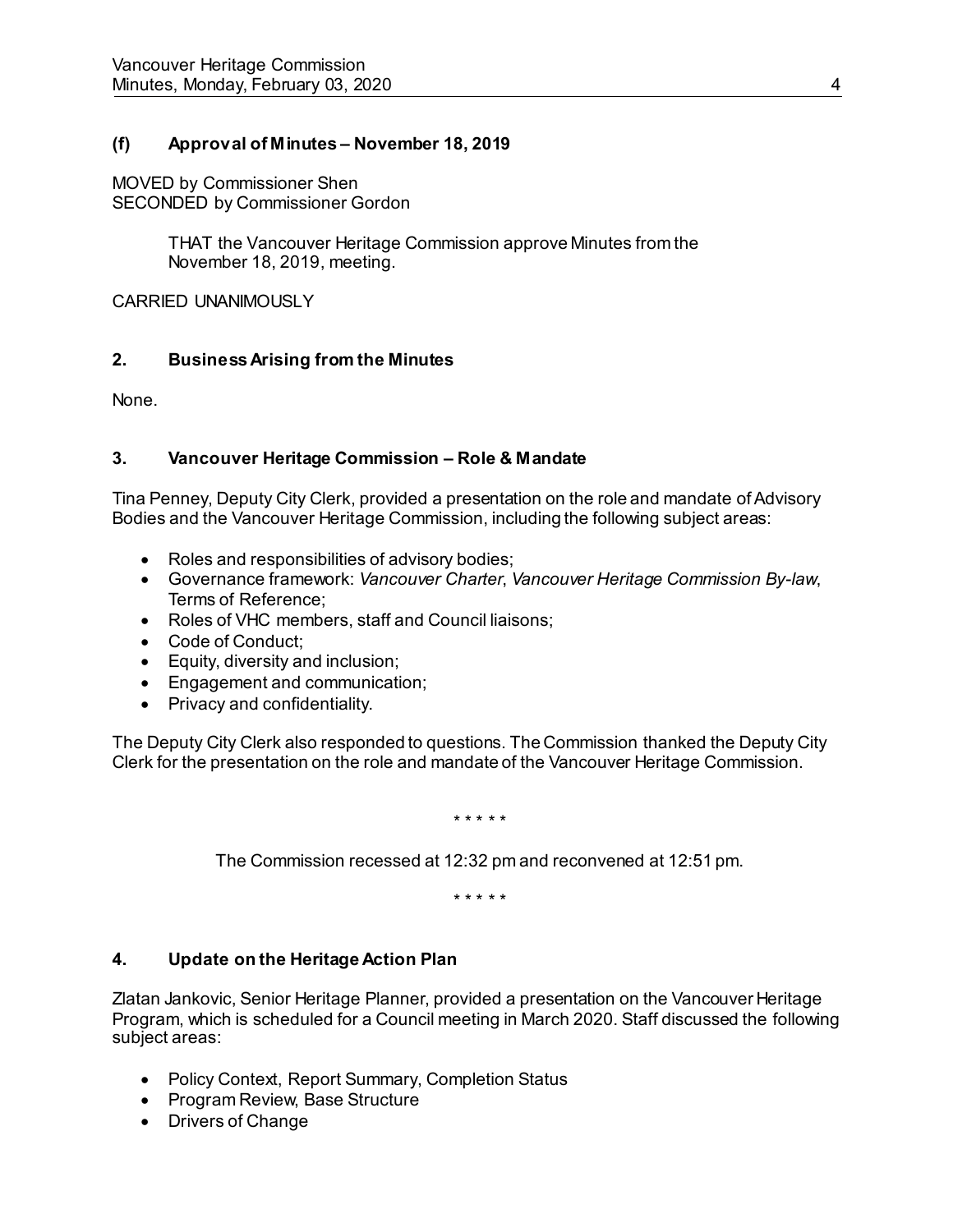# **(f) Approval of Minutes – November 18, 2019**

MOVED by Commissioner Shen SECONDED by Commissioner Gordon

> THAT the Vancouver Heritage Commission approve Minutes from the November 18, 2019, meeting.

CARRIED UNANIMOUSLY

## **2. Business Arising from the Minutes**

None.

## **3. Vancouver Heritage Commission – Role & Mandate**

Tina Penney, Deputy City Clerk, provided a presentation on the role and mandate of Advisory Bodies and the Vancouver Heritage Commission, including the following subject areas:

- Roles and responsibilities of advisory bodies;
- Governance framework: *Vancouver Charter*, *Vancouver Heritage Commission By-law*, Terms of Reference;
- Roles of VHC members, staff and Council liaisons;
- Code of Conduct;
- **Equity, diversity and inclusion;**
- Engagement and communication;
- Privacy and confidentiality.

The Deputy City Clerk also responded to questions. The Commission thanked the Deputy City Clerk for the presentation on the role and mandate of the Vancouver Heritage Commission.

\* \* \* \* \*

The Commission recessed at 12:32 pm and reconvened at 12:51 pm.

\* \* \* \* \*

# **4. Update on the Heritage Action Plan**

Zlatan Jankovic, Senior Heritage Planner, provided a presentation on the Vancouver Heritage Program, which is scheduled for a Council meeting in March 2020. Staff discussed the following subject areas:

- Policy Context, Report Summary, Completion Status
- Program Review, Base Structure
- Drivers of Change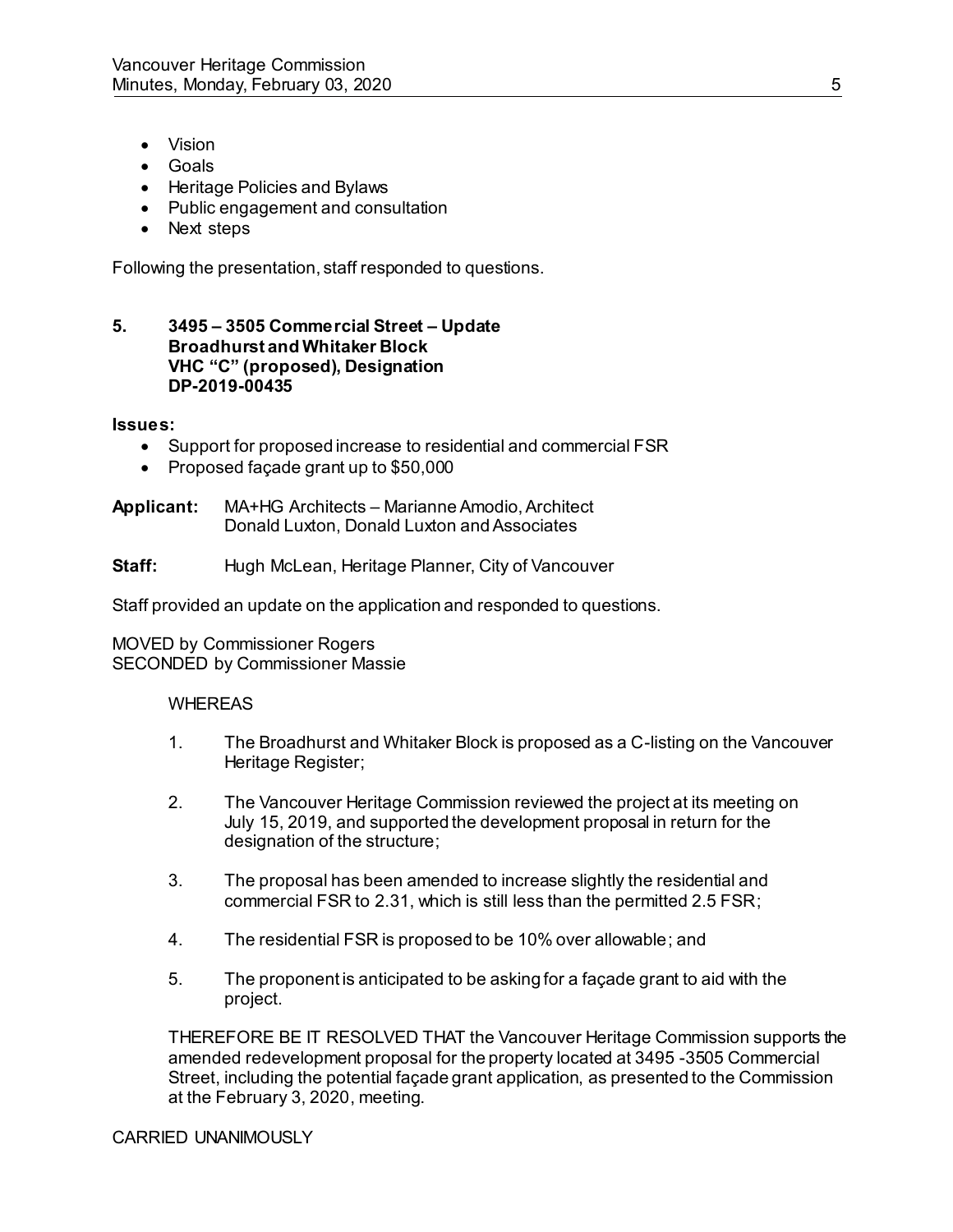- Vision
- Goals
- Heritage Policies and Bylaws
- Public engagement and consultation
- Next steps

Following the presentation, staff responded to questions.

### **5. 3495 – 3505 Commercial Street – Update Broadhurst and Whitaker Block VHC "C" (proposed), Designation DP-2019-00435**

#### **Issues:**

- Support for proposed increase to residential and commercial FSR
- Proposed façade grant up to \$50,000

**Applicant:** MA+HG Architects – Marianne Amodio, Architect Donald Luxton, Donald Luxton and Associates

**Staff:** Hugh McLean, Heritage Planner, City of Vancouver

Staff provided an update on the application and responded to questions.

MOVED by Commissioner Rogers SECONDED by Commissioner Massie

#### **WHEREAS**

- 1. The Broadhurst and Whitaker Block is proposed as a C-listing on the Vancouver Heritage Register;
- 2. The Vancouver Heritage Commission reviewed the project at its meeting on July 15, 2019, and supported the development proposal in return for the designation of the structure;
- 3. The proposal has been amended to increase slightly the residential and commercial FSR to 2.31, which is still less than the permitted 2.5 FSR;
- 4. The residential FSR is proposed to be 10% over allowable; and
- 5. The proponent is anticipated to be asking for a façade grant to aid with the project.

THEREFORE BE IT RESOLVED THAT the Vancouver Heritage Commission supports the amended redevelopment proposal for the property located at 3495 -3505 Commercial Street, including the potential façade grant application, as presented to the Commission at the February 3, 2020, meeting.